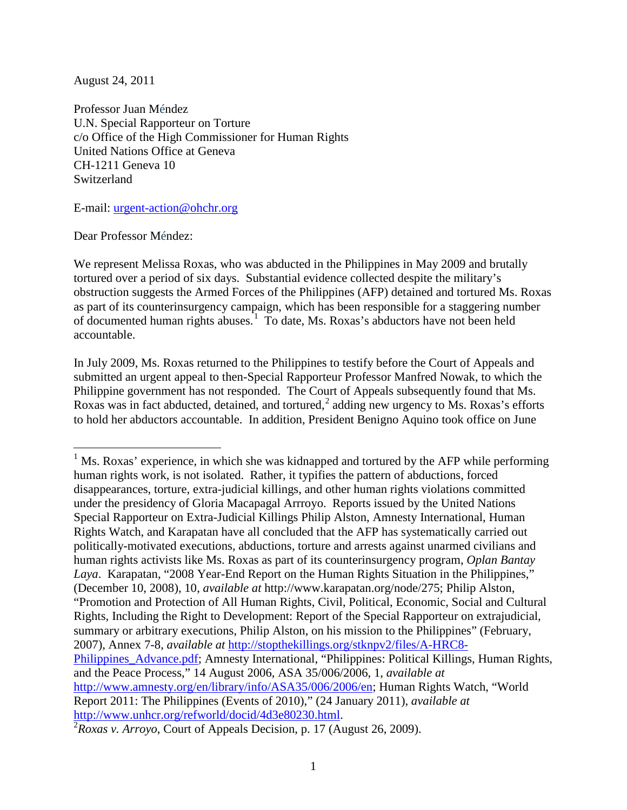August 24, 2011

Professor Juan Méndez U.N. Special Rapporteur on Torture c/o Office of the High Commissioner for Human Rights United Nations Office at Geneva CH-1211 Geneva 10 Switzerland

E-mail: [urgent-action@ohchr.org](mailto:urgent-action@ohchr.org)

Dear Professor Méndez:

We represent Melissa Roxas, who was abducted in the Philippines in May 2009 and brutally tortured over a period of six days. Substantial evidence collected despite the military's obstruction suggests the Armed Forces of the Philippines (AFP) detained and tortured Ms. Roxas as part of its counterinsurgency campaign, which has been responsible for a staggering number of documented human rights abuses.<sup>[1](#page-0-0)</sup> To date, Ms. Roxas's abductors have not been held accountable.

In July 2009, Ms. Roxas returned to the Philippines to testify before the Court of Appeals and submitted an urgent appeal to then-Special Rapporteur Professor Manfred Nowak, to which the Philippine government has not responded. The Court of Appeals subsequently found that Ms. Roxas was in fact abducted, detained, and tortured,  $2$  adding new urgency to Ms. Roxas's efforts to hold her abductors accountable. In addition, President Benigno Aquino took office on June

<span id="page-0-0"></span> $<sup>1</sup>$  Ms. Roxas' experience, in which she was kidnapped and tortured by the AFP while performing</sup> human rights work, is not isolated. Rather, it typifies the pattern of abductions, forced disappearances, torture, extra-judicial killings, and other human rights violations committed under the presidency of Gloria Macapagal Arrroyo. Reports issued by the United Nations Special Rapporteur on Extra-Judicial Killings Philip Alston, Amnesty International, Human Rights Watch, and Karapatan have all concluded that the AFP has systematically carried out politically-motivated executions, abductions, torture and arrests against unarmed civilians and human rights activists like Ms. Roxas as part of its counterinsurgency program, *Oplan Bantay Laya*. Karapatan, "2008 Year-End Report on the Human Rights Situation in the Philippines," (December 10, 2008), 10, *available at* http://www.karapatan.org/node/275; Philip Alston, "Promotion and Protection of All Human Rights, Civil, Political, Economic, Social and Cultural Rights, Including the Right to Development: Report of the Special Rapporteur on extrajudicial, summary or arbitrary executions, Philip Alston, on his mission to the Philippines" (February, 2007), Annex 7-8, *available at* [http://stopthekillings.org/stknpv2/files/A-HRC8-](http://stopthekillings.org/stknpv2/files/A-HRC8-Philippines_Advance.pdf) [Philippines\\_Advance.pdf;](http://stopthekillings.org/stknpv2/files/A-HRC8-Philippines_Advance.pdf) Amnesty International, "Philippines: Political Killings, Human Rights, and the Peace Process," 14 August 2006, ASA 35/006/2006, 1, *available at*  [http://www.amnesty.org/en/library/info/ASA35/006/2006/en;](http://www.amnesty.org/en/library/info/ASA35/006/2006/en) Human Rights Watch, "World Report 2011: The Philippines (Events of 2010)," (24 January 2011), *available at* [http://www.unhcr.org/refworld/docid/4d3e80230.html.](http://www.unhcr.org/refworld/docid/4d3e80230.html) <sup>2</sup>

<span id="page-0-1"></span>*Roxas v. Arroyo*, Court of Appeals Decision, p. 17 (August 26, 2009).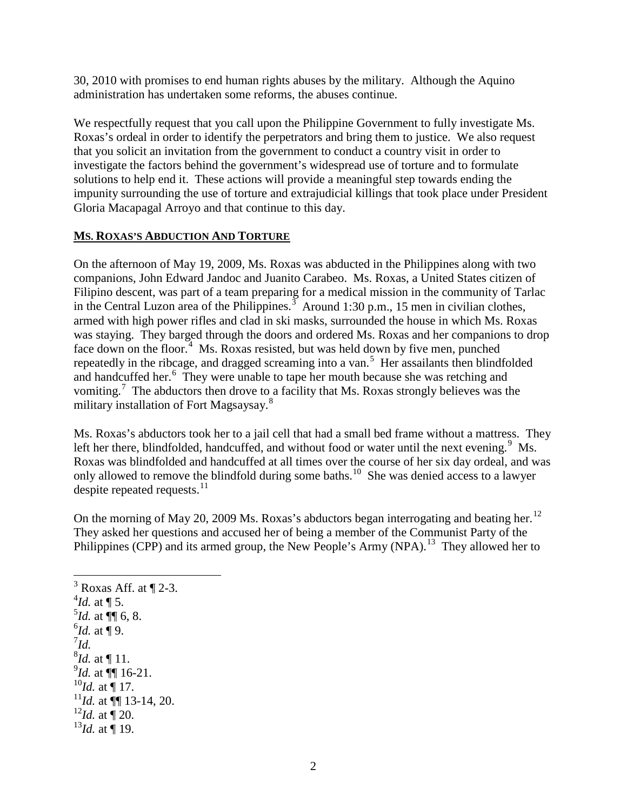30, 2010 with promises to end human rights abuses by the military. Although the Aquino administration has undertaken some reforms, the abuses continue.

We respectfully request that you call upon the Philippine Government to fully investigate Ms. Roxas's ordeal in order to identify the perpetrators and bring them to justice. We also request that you solicit an invitation from the government to conduct a country visit in order to investigate the factors behind the government's widespread use of torture and to formulate solutions to help end it. These actions will provide a meaningful step towards ending the impunity surrounding the use of torture and extrajudicial killings that took place under President Gloria Macapagal Arroyo and that continue to this day.

## **MS. ROXAS'S ABDUCTION AND TORTURE**

On the afternoon of May 19, 2009, Ms. Roxas was abducted in the Philippines along with two companions, John Edward Jandoc and Juanito Carabeo. Ms. Roxas, a United States citizen of Filipino descent, was part of a team preparing for a medical mission in the community of Tarlac in the Central Luzon area of the Philippines.<sup>[3](#page-1-0)</sup> Around 1:30 p.m., 15 men in civilian clothes, armed with high power rifles and clad in ski masks, surrounded the house in which Ms. Roxas was staying. They barged through the doors and ordered Ms. Roxas and her companions to drop face down on the floor.<sup>[4](#page-1-1)</sup> Ms. Roxas resisted, but was held down by five men, punched repeatedly in the ribcage, and dragged screaming into a van.<sup>[5](#page-1-2)</sup> Her assailants then blindfolded and handcuffed her.<sup>[6](#page-1-3)</sup> They were unable to tape her mouth because she was retching and vomiting.<sup>[7](#page-1-4)</sup> The abductors then drove to a facility that Ms. Roxas strongly believes was the military installation of Fort Magsaysay.<sup>[8](#page-1-5)</sup>

Ms. Roxas's abductors took her to a jail cell that had a small bed frame without a mattress. They left her there, blindfolded, handcuffed, and without food or water until the next evening.<sup>[9](#page-1-6)</sup> Ms. Roxas was blindfolded and handcuffed at all times over the course of her six day ordeal, and was only allowed to remove the blindfold during some baths.<sup>10</sup> She was denied access to a lawyer despite repeated requests.<sup>[11](#page-1-8)</sup>

On the morning of May 20, 2009 Ms. Roxas's abductors began interrogating and beating her.<sup>[12](#page-1-9)</sup> They asked her questions and accused her of being a member of the Communist Party of the Philippines (CPP) and its armed group, the New People's Army (NPA).<sup>[13](#page-1-10)</sup> They allowed her to

<span id="page-1-10"></span><span id="page-1-9"></span><span id="page-1-8"></span><span id="page-1-7"></span><span id="page-1-6"></span><span id="page-1-5"></span><span id="page-1-4"></span><span id="page-1-3"></span><span id="page-1-2"></span><span id="page-1-1"></span><span id="page-1-0"></span> $3$  Roxas Aff. at  $\P$  2-3.  $^{4}$ *Id.* at ¶ 5.  $^{5}$ *Id.* at  $\P$  6, 8.  $^{6}$ *Id.* at  $\overline{9}$ . 7 *Id.*  $^{8}$ *Id.* at  $\P$  11. 9 *Id.* at ¶¶ 16-21.  $^{10}$ *Id.* at  $\sqrt{\phantom{a}}$  17.  $^{11}$ *Id.* at  $\P\P$  13-14, 20.  $^{12}$ *Id.* at  $\sqrt{\ }$  20.  $^{13}$ *Id.* at  $\stackrel{1}{\P}$  19.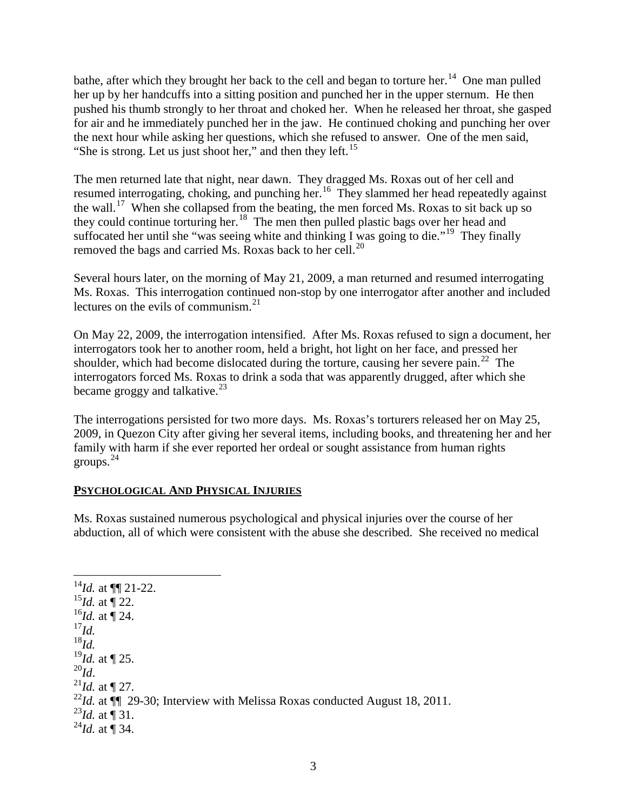bathe, after which they brought her back to the cell and began to torture her.<sup>14</sup> One man pulled her up by her handcuffs into a sitting position and punched her in the upper sternum. He then pushed his thumb strongly to her throat and choked her. When he released her throat, she gasped for air and he immediately punched her in the jaw. He continued choking and punching her over the next hour while asking her questions, which she refused to answer. One of the men said, "She is strong. Let us just shoot her," and then they left.<sup>[15](#page-2-1)</sup>

The men returned late that night, near dawn. They dragged Ms. Roxas out of her cell and resumed interrogating, choking, and punching her.<sup>[16](#page-2-2)</sup> They slammed her head repeatedly against the wall.<sup>[17](#page-2-3)</sup> When she collapsed from the beating, the men forced Ms. Roxas to sit back up so they could continue torturing her.<sup>18</sup> The men then pulled plastic bags over her head and suffocated her until she "was seeing white and thinking I was going to die."<sup>19</sup> They finally removed the bags and carried Ms. Roxas back to her cell.<sup>[20](#page-2-6)</sup>

Several hours later, on the morning of May 21, 2009, a man returned and resumed interrogating Ms. Roxas. This interrogation continued non-stop by one interrogator after another and included lectures on the evils of communism.<sup>[21](#page-2-7)</sup>

On May 22, 2009, the interrogation intensified. After Ms. Roxas refused to sign a document, her interrogators took her to another room, held a bright, hot light on her face, and pressed her shoulder, which had become dislocated during the torture, causing her severe pain.<sup>22</sup> The interrogators forced Ms. Roxas to drink a soda that was apparently drugged, after which she became groggy and talkative. $^{23}$  $^{23}$  $^{23}$ 

The interrogations persisted for two more days. Ms. Roxas's torturers released her on May 25, 2009, in Quezon City after giving her several items, including books, and threatening her and her family with harm if she ever reported her ordeal or sought assistance from human rights groups. [24](#page-2-10)

## **PSYCHOLOGICAL AND PHYSICAL INJURIES**

Ms. Roxas sustained numerous psychological and physical injuries over the course of her abduction, all of which were consistent with the abuse she described. She received no medical

<span id="page-2-10"></span><span id="page-2-9"></span><span id="page-2-8"></span><span id="page-2-7"></span><span id="page-2-6"></span><span id="page-2-5"></span><span id="page-2-4"></span><span id="page-2-3"></span><span id="page-2-2"></span><span id="page-2-1"></span><span id="page-2-0"></span> $^{14}$ *Id.* at ¶[ 21-22.  $^{15}$ *Id.* at  $\frac{1}{22}$ .  $^{16}$ *Id.* at  $\stackrel{\text{ii}}{]}$  24. <sup>17</sup>*Id.* <sup>18</sup>*Id.*  $^{19}$ *Id.* at ¶ 25.<br> $^{20}$ *Id.*  $^{21}$ *Id.* at ¶ 27. <sup>22</sup>Id. at  $\P$  29-30; Interview with Melissa Roxas conducted August 18, 2011. <sup>23</sup>*Id.* at  $\sqrt{ }$  31.  $^{24}$ *Id.* at ¶ 34.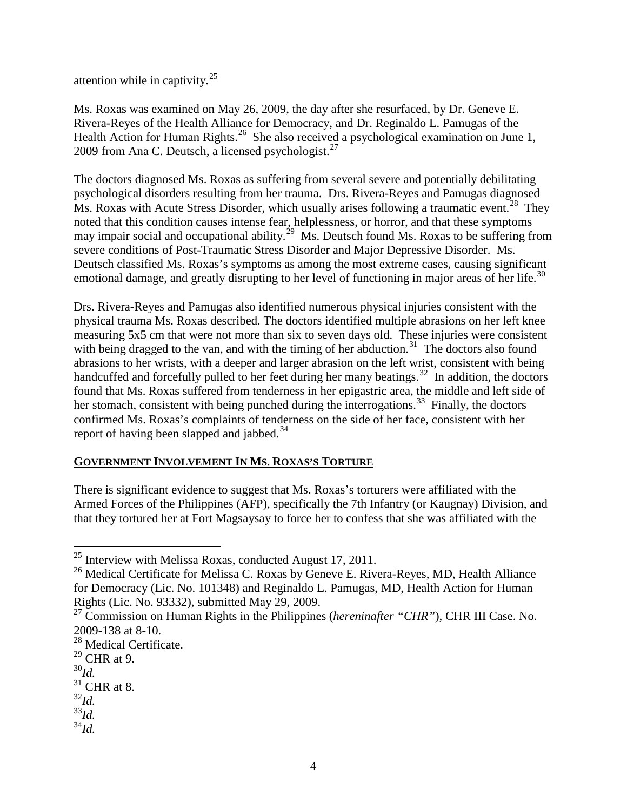attention while in captivity. $25$ 

Ms. Roxas was examined on May 26, 2009, the day after she resurfaced, by Dr. Geneve E. Rivera-Reyes of the Health Alliance for Democracy, and Dr. Reginaldo L. Pamugas of the Health Action for Human Rights.<sup>26</sup> She also received a psychological examination on June 1, 2009 from Ana C. Deutsch, a licensed psychologist.<sup>[27](#page-3-2)</sup>

The doctors diagnosed Ms. Roxas as suffering from several severe and potentially debilitating psychological disorders resulting from her trauma. Drs. Rivera-Reyes and Pamugas diagnosed Ms. Roxas with Acute Stress Disorder, which usually arises following a traumatic event.<sup>[28](#page-3-3)</sup> They noted that this condition causes intense fear, helplessness, or horror, and that these symptoms may impair social and occupational ability.<sup>29</sup> Ms. Deutsch found Ms. Roxas to be suffering from severe conditions of Post-Traumatic Stress Disorder and Major Depressive Disorder. Ms. Deutsch classified Ms. Roxas's symptoms as among the most extreme cases, causing significant emotional damage, and greatly disrupting to her level of functioning in major areas of her life.<sup>[30](#page-3-5)</sup>

Drs. Rivera-Reyes and Pamugas also identified numerous physical injuries consistent with the physical trauma Ms. Roxas described. The doctors identified multiple abrasions on her left knee measuring 5x5 cm that were not more than six to seven days old. These injuries were consistent with being dragged to the van, and with the timing of her abduction. $31$  The doctors also found abrasions to her wrists, with a deeper and larger abrasion on the left wrist, consistent with being handcuffed and forcefully pulled to her feet during her many beatings.<sup>[32](#page-3-7)</sup> In addition, the doctors found that Ms. Roxas suffered from tenderness in her epigastric area, the middle and left side of her stomach, consistent with being punched during the interrogations.<sup>[33](#page-3-8)</sup> Finally, the doctors confirmed Ms. Roxas's complaints of tenderness on the side of her face, consistent with her report of having been slapped and jabbed.<sup>[34](#page-3-9)</sup>

## **GOVERNMENT INVOLVEMENT IN MS. ROXAS'S TORTURE**

There is significant evidence to suggest that Ms. Roxas's torturers were affiliated with the Armed Forces of the Philippines (AFP), specifically the 7th Infantry (or Kaugnay) Division, and that they tortured her at Fort Magsaysay to force her to confess that she was affiliated with the

<span id="page-3-5"></span><sup>30</sup>*Id.*

- <span id="page-3-7"></span><sup>32</sup>*Id.*
- <span id="page-3-8"></span><sup>33</sup>*Id.*
- <span id="page-3-9"></span><sup>34</sup>*Id.*

<span id="page-3-0"></span> <sup>25</sup> Interview with Melissa Roxas, conducted August 17, 2011.

<span id="page-3-1"></span><sup>&</sup>lt;sup>26</sup> Medical Certificate for Melissa C. Roxas by Geneve E. Rivera-Reyes, MD, Health Alliance for Democracy (Lic. No. 101348) and Reginaldo L. Pamugas, MD, Health Action for Human Rights (Lic. No. 93332), submitted May 29, 2009.

<span id="page-3-2"></span><sup>27</sup> Commission on Human Rights in the Philippines (*hereninafter "CHR"*), CHR III Case. No. 2009-138 at 8-10.

<span id="page-3-3"></span> $28$  Medical Certificate.

<span id="page-3-4"></span> $29$  CHR at 9.

<span id="page-3-6"></span> $31$  CHR at 8.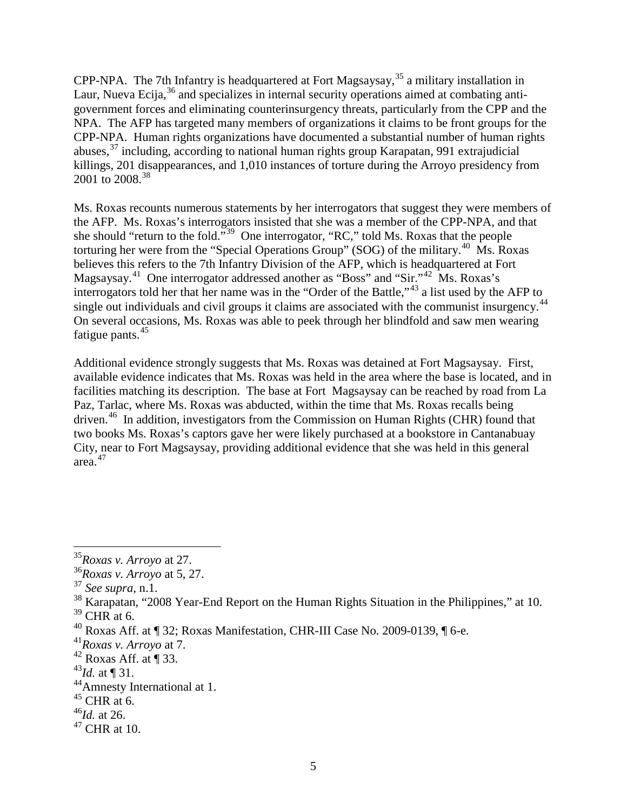CPP-NPA. The 7th Infantry is headquartered at Fort Magsaysay,<sup>[35](#page-4-0)</sup> a military installation in Laur, Nueva Ecija,  $36$  and specializes in internal security operations aimed at combating antigovernment forces and eliminating counterinsurgency threats, particularly from the CPP and the NPA. The AFP has targeted many members of organizations it claims to be front groups for the CPP-NPA. Human rights organizations have documented a substantial number of human rights abuses, $37$  including, according to national human rights group Karapatan, 991 extrajudicial killings, 201 disappearances, and 1,010 instances of torture during the Arroyo presidency from 2001 to 2008.<sup>[38](#page-4-3)</sup>

Ms. Roxas recounts numerous statements by her interrogators that suggest they were members of the AFP. Ms. Roxas's interrogators insisted that she was a member of the CPP-NPA, and that she should "return to the fold."[39](#page-4-4) One interrogator, "RC," told Ms. Roxas that the people torturing her were from the "Special Operations Group" (SOG) of the military.<sup>[40](#page-4-5)</sup> Ms. Roxas believes this refers to the 7th Infantry Division of the AFP, which is headquartered at Fort Magsaysay.<sup>41</sup> One interrogator addressed another as "Boss" and "Sir."<sup>[42](#page-4-7)</sup> Ms. Roxas's interrogators told her that her name was in the "Order of the Battle,"[43](#page-4-8) a list used by the AFP to single out individuals and civil groups it claims are associated with the communist insurgency.<sup>[44](#page-4-9)</sup> On several occasions, Ms. Roxas was able to peek through her blindfold and saw men wearing fatigue pants.<sup>[45](#page-4-10)</sup>

Additional evidence strongly suggests that Ms. Roxas was detained at Fort Magsaysay. First, available evidence indicates that Ms. Roxas was held in the area where the base is located, and in facilities matching its description. The base at Fort Magsaysay can be reached by road from La Paz, Tarlac, where Ms. Roxas was abducted, within the time that Ms. Roxas recalls being driven.<sup>[46](#page-4-11)</sup> In addition, investigators from the Commission on Human Rights (CHR) found that two books Ms. Roxas's captors gave her were likely purchased at a bookstore in Cantanabuay City, near to Fort Magsaysay, providing additional evidence that she was held in this general area.[47](#page-4-12)

<span id="page-4-0"></span> <sup>35</sup>*Roxas v. Arroyo* at 27.

<span id="page-4-1"></span><sup>36</sup>*Roxas v. Arroyo* at 5, 27.

<sup>37</sup> *See supra*, n.1.

<span id="page-4-3"></span><span id="page-4-2"></span><sup>&</sup>lt;sup>38</sup> Karapatan, "2008 Year-End Report on the Human Rights Situation in the Philippines," at 10.

<span id="page-4-4"></span> $39$  CHR at 6.

<span id="page-4-5"></span> $^{40}$  Roxas Aff. at  $\P$  32; Roxas Manifestation, CHR-III Case No. 2009-0139,  $\P$  6-e.

<span id="page-4-6"></span><sup>41</sup>*Roxas v. Arroyo* at 7.

<span id="page-4-7"></span> $42$  Roxas Aff. at ¶ 33.

<span id="page-4-8"></span><sup>&</sup>lt;sup>43</sup>*Id.* at  $\P$  31.

<span id="page-4-10"></span><span id="page-4-9"></span><sup>&</sup>lt;sup>44</sup>Amnesty International at 1.<br><sup>45</sup> CHR at 6.

<span id="page-4-11"></span><sup>46</sup>*Id.* at 26.

<span id="page-4-12"></span> $47$  CHR at 10.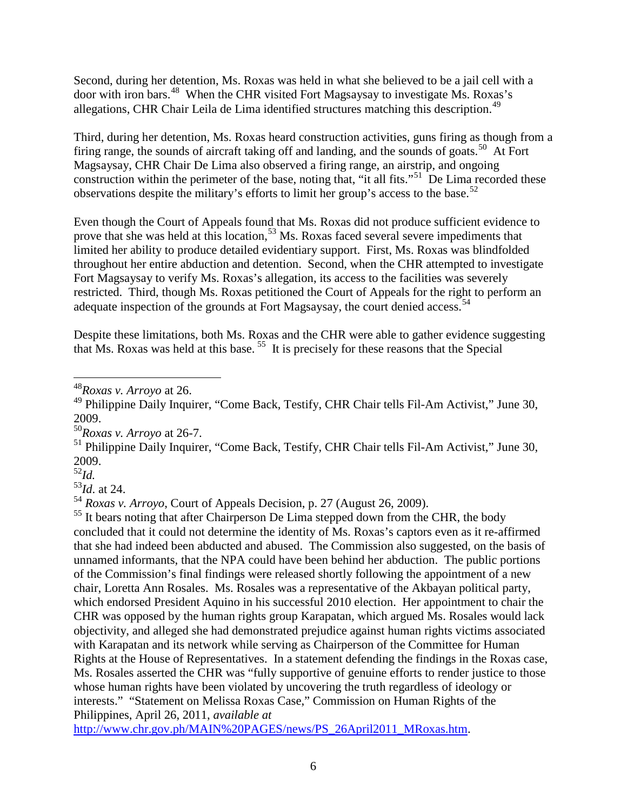Second, during her detention, Ms. Roxas was held in what she believed to be a jail cell with a door with iron bars.[48](#page-5-0) When the CHR visited Fort Magsaysay to investigate Ms. Roxas's allegations, CHR Chair Leila de Lima identified structures matching this description.[49](#page-5-1)

Third, during her detention, Ms. Roxas heard construction activities, guns firing as though from a firing range, the sounds of aircraft taking off and landing, and the sounds of goats.<sup>50</sup> At Fort Magsaysay, CHR Chair De Lima also observed a firing range, an airstrip, and ongoing construction within the perimeter of the base, noting that, "it all fits."<sup>51</sup> De Lima recorded these observations despite the military's efforts to limit her group's access to the base.<sup>[52](#page-5-4)</sup>

Even though the Court of Appeals found that Ms. Roxas did not produce sufficient evidence to prove that she was held at this location,<sup>[53](#page-5-5)</sup> Ms. Roxas faced several severe impediments that limited her ability to produce detailed evidentiary support. First, Ms. Roxas was blindfolded throughout her entire abduction and detention. Second, when the CHR attempted to investigate Fort Magsaysay to verify Ms. Roxas's allegation, its access to the facilities was severely restricted. Third, though Ms. Roxas petitioned the Court of Appeals for the right to perform an adequate inspection of the grounds at Fort Magsaysay, the court denied access.<sup>[54](#page-5-6)</sup>

Despite these limitations, both Ms. Roxas and the CHR were able to gather evidence suggesting that Ms. Roxas was held at this base.<sup>[55](#page-5-7)</sup> It is precisely for these reasons that the Special

<sup>52</sup>*Id.*

<span id="page-5-5"></span><span id="page-5-4"></span><sup>53</sup>*Id*. at 24.

<span id="page-5-6"></span><sup>54</sup> *Roxas v. Arroyo*, Court of Appeals Decision, p. 27 (August 26, 2009).

<span id="page-5-7"></span><sup>55</sup> It bears noting that after Chairperson De Lima stepped down from the CHR, the body concluded that it could not determine the identity of Ms. Roxas's captors even as it re-affirmed that she had indeed been abducted and abused. The Commission also suggested, on the basis of unnamed informants, that the NPA could have been behind her abduction. The public portions of the Commission's final findings were released shortly following the appointment of a new chair, Loretta Ann Rosales. Ms. Rosales was a representative of the Akbayan political party, which endorsed President Aquino in his successful 2010 election. Her appointment to chair the CHR was opposed by the human rights group Karapatan, which argued Ms. Rosales would lack objectivity, and alleged she had demonstrated prejudice against human rights victims associated with Karapatan and its network while serving as Chairperson of the Committee for Human Rights at the House of Representatives. In a statement defending the findings in the Roxas case, Ms. Rosales asserted the CHR was "fully supportive of genuine efforts to render justice to those whose human rights have been violated by uncovering the truth regardless of ideology or interests." "Statement on Melissa Roxas Case," Commission on Human Rights of the Philippines, April 26, 2011, *available at* 

[http://www.chr.gov.ph/MAIN%20PAGES/news/PS\\_26April2011\\_MRoxas.htm.](http://www.chr.gov.ph/MAIN%20PAGES/news/PS_26April2011_MRoxas.htm)

<span id="page-5-0"></span> <sup>48</sup>*Roxas v. Arroyo* at 26.

<span id="page-5-1"></span><sup>&</sup>lt;sup>49</sup> Philippine Daily Inquirer, "Come Back, Testify, CHR Chair tells Fil-Am Activist," June 30, 2009.

<sup>50</sup>*Roxas v. Arroyo* at 26-7.

<span id="page-5-3"></span><span id="page-5-2"></span><sup>&</sup>lt;sup>51</sup> Philippine Daily Inquirer, "Come Back, Testify, CHR Chair tells Fil-Am Activist," June 30, 2009.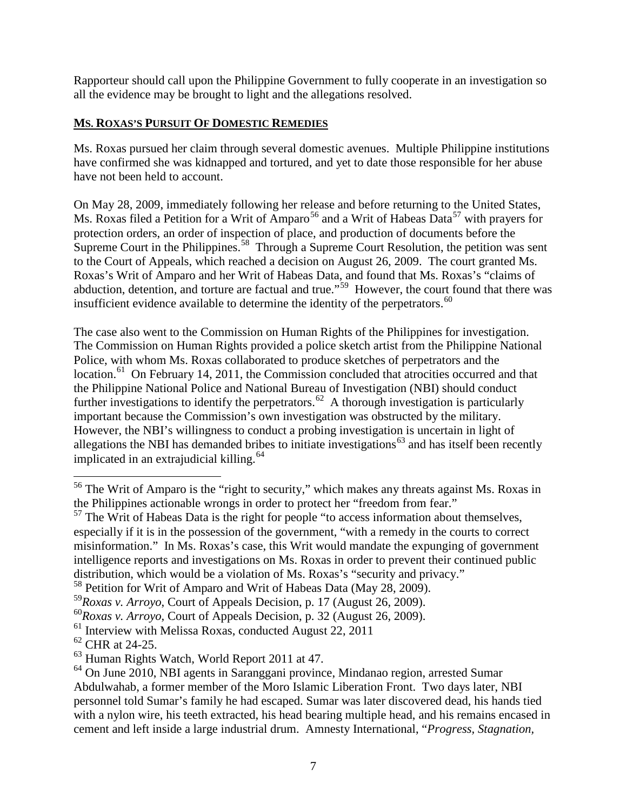Rapporteur should call upon the Philippine Government to fully cooperate in an investigation so all the evidence may be brought to light and the allegations resolved.

## **MS. ROXAS'S PURSUIT OF DOMESTIC REMEDIES**

Ms. Roxas pursued her claim through several domestic avenues. Multiple Philippine institutions have confirmed she was kidnapped and tortured, and yet to date those responsible for her abuse have not been held to account.

On May 28, 2009, immediately following her release and before returning to the United States, Ms. Roxas filed a Petition for a Writ of Amparo<sup>[56](#page-6-0)</sup> and a Writ of Habeas Data<sup>[57](#page-6-1)</sup> with prayers for protection orders, an order of inspection of place, and production of documents before the Supreme Court in the Philippines.<sup>58</sup> Through a Supreme Court Resolution, the petition was sent to the Court of Appeals, which reached a decision on August 26, 2009. The court granted Ms. Roxas's Writ of Amparo and her Writ of Habeas Data, and found that Ms. Roxas's "claims of abduction, detention, and torture are factual and true."<sup>59</sup> However, the court found that there was insufficient evidence available to determine the identity of the perpetrators. $60$ 

The case also went to the Commission on Human Rights of the Philippines for investigation. The Commission on Human Rights provided a police sketch artist from the Philippine National Police, with whom Ms. Roxas collaborated to produce sketches of perpetrators and the location.<sup>[61](#page-6-5)</sup> On February 14, 2011, the Commission concluded that atrocities occurred and that the Philippine National Police and National Bureau of Investigation (NBI) should conduct further investigations to identify the perpetrators.<sup>[62](#page-6-6)</sup> A thorough investigation is particularly important because the Commission's own investigation was obstructed by the military. However, the NBI's willingness to conduct a probing investigation is uncertain in light of allegations the NBI has demanded bribes to initiate investigations<sup>[63](#page-6-7)</sup> and has itself been recently implicated in an extrajudicial killing. $64$ 

<span id="page-6-0"></span><sup>&</sup>lt;sup>56</sup> The Writ of Amparo is the "right to security," which makes any threats against Ms. Roxas in the Philippines actionable wrongs in order to protect her "freedom from fear."

<span id="page-6-1"></span> $<sup>57</sup>$  The Writ of Habeas Data is the right for people "to access information about themselves,</sup> especially if it is in the possession of the government, "with a remedy in the courts to correct misinformation." In Ms. Roxas's case, this Writ would mandate the expunging of government intelligence reports and investigations on Ms. Roxas in order to prevent their continued public distribution, which would be a violation of Ms. Roxas's "security and privacy."

<span id="page-6-2"></span><sup>&</sup>lt;sup>58</sup> Petition for Writ of Amparo and Writ of Habeas Data (May 28, 2009).

<span id="page-6-3"></span><sup>59</sup>*Roxas v. Arroyo*, Court of Appeals Decision, p. 17 (August 26, 2009).

<span id="page-6-4"></span><sup>60</sup>*Roxas v. Arroyo*, Court of Appeals Decision, p. 32 (August 26, 2009).

<span id="page-6-5"></span><sup>&</sup>lt;sup>61</sup> Interview with Melissa Roxas, conducted August 22, 2011

<span id="page-6-6"></span><sup>62</sup> CHR at 24-25.

<span id="page-6-7"></span><sup>63</sup> Human Rights Watch, World Report 2011 at 47.

<span id="page-6-8"></span><sup>&</sup>lt;sup>64</sup> On June 2010, NBI agents in Saranggani province, Mindanao region, arrested Sumar Abdulwahab, a former member of the Moro Islamic Liberation Front. Two days later, NBI personnel told Sumar's family he had escaped. Sumar was later discovered dead, his hands tied with a nylon wire, his teeth extracted, his head bearing multiple head, and his remains encased in cement and left inside a large industrial drum. Amnesty International, "*Progress, Stagnation,*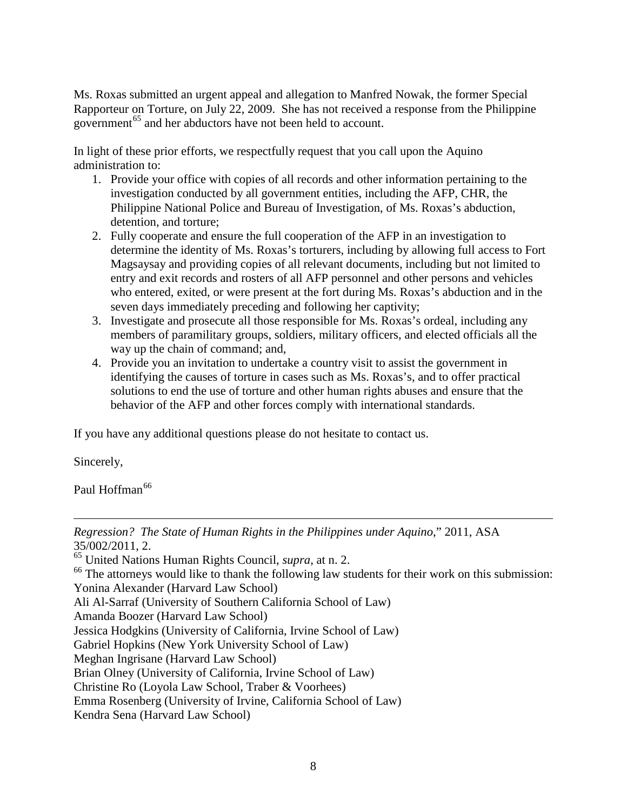Ms. Roxas submitted an urgent appeal and allegation to Manfred Nowak, the former Special Rapporteur on Torture, on July 22, 2009. She has not received a response from the Philippine government<sup>[65](#page-7-0)</sup> and her abductors have not been held to account.

In light of these prior efforts, we respectfully request that you call upon the Aquino administration to:

- 1. Provide your office with copies of all records and other information pertaining to the investigation conducted by all government entities, including the AFP, CHR, the Philippine National Police and Bureau of Investigation, of Ms. Roxas's abduction, detention, and torture;
- 2. Fully cooperate and ensure the full cooperation of the AFP in an investigation to determine the identity of Ms. Roxas's torturers, including by allowing full access to Fort Magsaysay and providing copies of all relevant documents, including but not limited to entry and exit records and rosters of all AFP personnel and other persons and vehicles who entered, exited, or were present at the fort during Ms. Roxas's abduction and in the seven days immediately preceding and following her captivity;
- 3. Investigate and prosecute all those responsible for Ms. Roxas's ordeal, including any members of paramilitary groups, soldiers, military officers, and elected officials all the way up the chain of command; and,
- 4. Provide you an invitation to undertake a country visit to assist the government in identifying the causes of torture in cases such as Ms. Roxas's, and to offer practical solutions to end the use of torture and other human rights abuses and ensure that the behavior of the AFP and other forces comply with international standards.

If you have any additional questions please do not hesitate to contact us.

Sincerely,

Paul Hoffman<sup>[66](#page-7-1)</sup>

<span id="page-7-1"></span><span id="page-7-0"></span> $\overline{a}$ *Regression? The State of Human Rights in the Philippines under Aquino*," 2011, ASA 35/002/2011, 2. <sup>65</sup> United Nations Human Rights Council, *supra*, at n. 2. <sup>66</sup> The attorneys would like to thank the following law students for their work on this submission: Yonina Alexander (Harvard Law School) Ali Al-Sarraf (University of Southern California School of Law) Amanda Boozer (Harvard Law School) Jessica Hodgkins (University of California, Irvine School of Law) Gabriel Hopkins (New York University School of Law) Meghan Ingrisane (Harvard Law School)

Brian Olney (University of California, Irvine School of Law)

Christine Ro (Loyola Law School, Traber & Voorhees)

Emma Rosenberg (University of Irvine, California School of Law)

Kendra Sena (Harvard Law School)